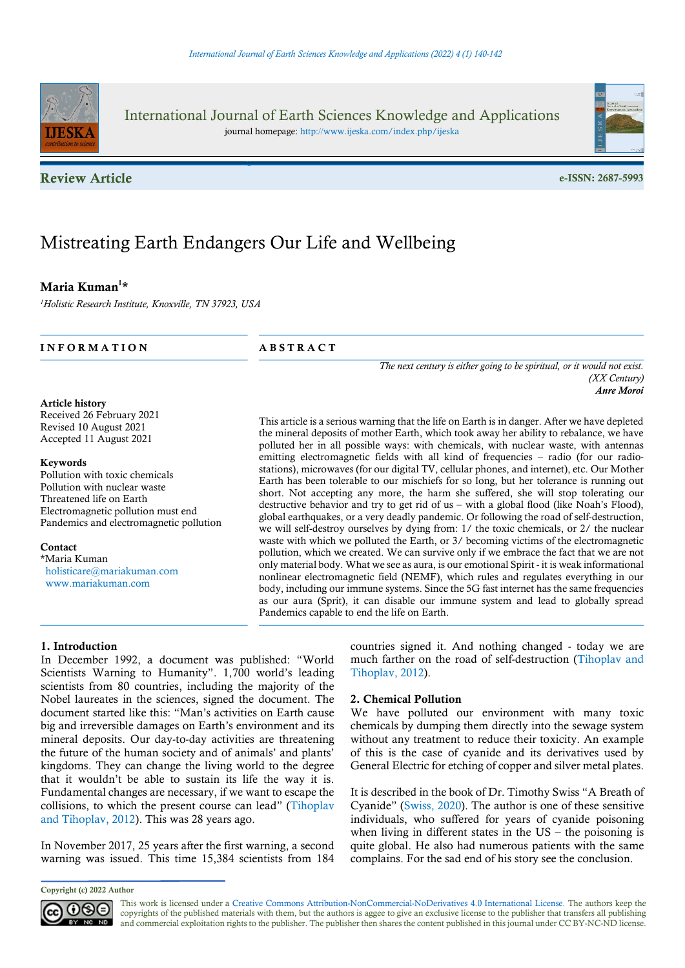

International Journal of Earth Sciences Knowledge and Applications journal homepage: http://www.ijeska.com/index.php/ijeska

Review Article e-ISSN: 2687-5993





# Mistreating Earth Endangers Our Life and Wellbeing

# Maria Kuman<sup>1\*</sup>

<sup>1</sup>Holistic Research Institute, Knoxville, TN 37923, USA

INFORMATION ABSTRACT

Article history

Received 26 February 2021 Revised 10 August 2021 Accepted 11 August 2021

#### Keywords

Pollution with toxic chemicals Pollution with nuclear waste Threatened life on Earth Electromagnetic pollution must end Pandemics and electromagnetic pollution

Contact \*Maria Kuman holisticare@mariakuman.com www.mariakuman.com

The next century is either going to be spiritual, or it would not exist. (XX Century) Anre Moroi

This article is a serious warning that the life on Earth is in danger. After we have depleted the mineral deposits of mother Earth, which took away her ability to rebalance, we have polluted her in all possible ways: with chemicals, with nuclear waste, with antennas emitting electromagnetic fields with all kind of frequencies – radio (for our radiostations), microwaves (for our digital TV, cellular phones, and internet), etc. Our Mother Earth has been tolerable to our mischiefs for so long, but her tolerance is running out short. Not accepting any more, the harm she suffered, she will stop tolerating our destructive behavior and try to get rid of us – with a global flood (like Noah's Flood), global earthquakes, or a very deadly pandemic. Or following the road of self-destruction, we will self-destroy ourselves by dying from: 1/ the toxic chemicals, or 2/ the nuclear waste with which we polluted the Earth, or  $3/$  becoming victims of the electromagnetic pollution, which we created. We can survive only if we embrace the fact that we are not only material body. What we see as aura, is our emotional Spirit - it is weak informational nonlinear electromagnetic field (NEMF), which rules and regulates everything in our body, including our immune systems. Since the 5G fast internet has the same frequencies as our aura (Sprit), it can disable our immune system and lead to globally spread Pandemics capable to end the life on Earth.

# 1. Introduction

In December 1992, a document was published: "World Scientists Warning to Humanity". 1,700 world's leading scientists from 80 countries, including the majority of the Nobel laureates in the sciences, signed the document. The document started like this: "Man's activities on Earth cause big and irreversible damages on Earth's environment and its mineral deposits. Our day-to-day activities are threatening the future of the human society and of animals' and plants' kingdoms. They can change the living world to the degree that it wouldn't be able to sustain its life the way it is. Fundamental changes are necessary, if we want to escape the collisions, to which the present course can lead" (Tihoplav and Tihoplav, 2012). This was 28 years ago.

In November 2017, 25 years after the first warning, a second warning was issued. This time 15,384 scientists from 184

### 2. Chemical Pollution

We have polluted our environment with many toxic chemicals by dumping them directly into the sewage system without any treatment to reduce their toxicity. An example of this is the case of cyanide and its derivatives used by General Electric for etching of copper and silver metal plates.

It is described in the book of Dr. Timothy Swiss "A Breath of Cyanide" (Swiss, 2020). The author is one of these sensitive individuals, who suffered for years of cyanide poisoning when living in different states in the  $US -$  the poisoning is quite global. He also had numerous patients with the same complains. For the sad end of his story see the conclusion.

Copyright (c) 2022 Author



This work is licensed under a Creative Commons Attribution-NonCommercial-NoDerivatives 4.0 International License. The authors keep the copyrights of the published materials with them, but the authors is aggee to give an exclusive license to the publisher that transfers all publishing and commercial exploitation rights to the publisher. The publisher then shares the content published in this journal under CC BY-NC-ND license.

countries signed it. And nothing changed - today we are much farther on the road of self-destruction (Tihoplav and Tihoplav, 2012).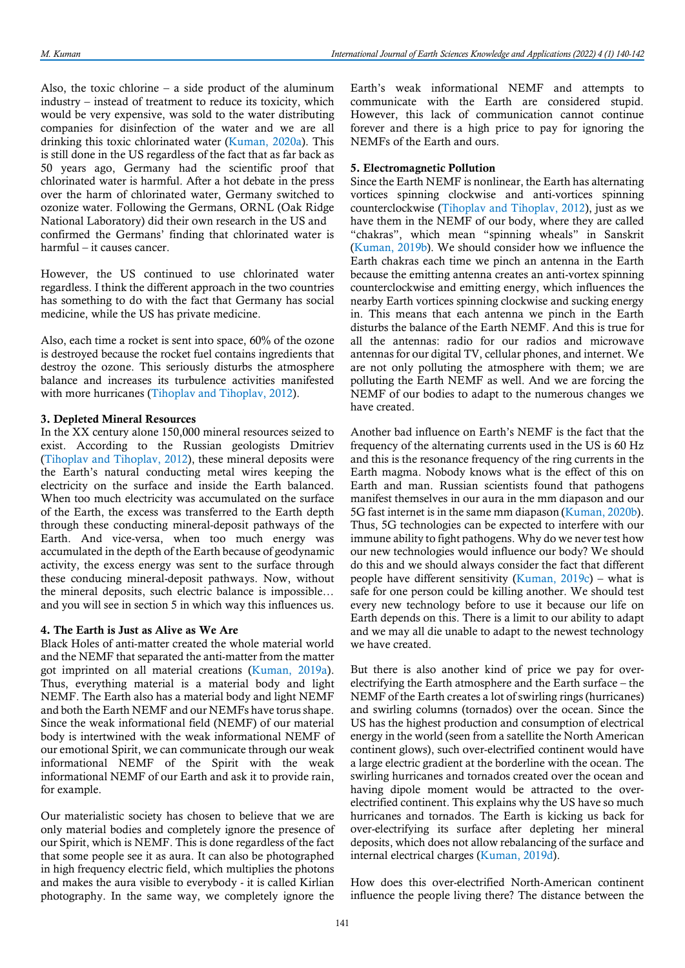Also, the toxic chlorine – a side product of the aluminum industry – instead of treatment to reduce its toxicity, which would be very expensive, was sold to the water distributing companies for disinfection of the water and we are all drinking this toxic chlorinated water (Kuman, 2020a). This is still done in the US regardless of the fact that as far back as 50 years ago, Germany had the scientific proof that chlorinated water is harmful. After a hot debate in the press over the harm of chlorinated water, Germany switched to ozonize water. Following the Germans, ORNL (Oak Ridge National Laboratory) did their own research in the US and confirmed the Germans' finding that chlorinated water is harmful – it causes cancer.

However, the US continued to use chlorinated water regardless. I think the different approach in the two countries has something to do with the fact that Germany has social medicine, while the US has private medicine.

Also, each time a rocket is sent into space, 60% of the ozone is destroyed because the rocket fuel contains ingredients that destroy the ozone. This seriously disturbs the atmosphere balance and increases its turbulence activities manifested with more hurricanes (Tihoplav and Tihoplav, 2012).

### 3. Depleted Mineral Resources

In the XX century alone 150,000 mineral resources seized to exist. According to the Russian geologists Dmitriev (Tihoplav and Tihoplav, 2012), these mineral deposits were the Earth's natural conducting metal wires keeping the electricity on the surface and inside the Earth balanced. When too much electricity was accumulated on the surface of the Earth, the excess was transferred to the Earth depth through these conducting mineral-deposit pathways of the Earth. And vice-versa, when too much energy was accumulated in the depth of the Earth because of geodynamic activity, the excess energy was sent to the surface through these conducing mineral-deposit pathways. Now, without the mineral deposits, such electric balance is impossible… and you will see in section 5 in which way this influences us.

#### 4. The Earth is Just as Alive as We Are

Black Holes of anti-matter created the whole material world and the NEMF that separated the anti-matter from the matter got imprinted on all material creations (Kuman, 2019a). Thus, everything material is a material body and light NEMF. The Earth also has a material body and light NEMF and both the Earth NEMF and our NEMFs have torus shape. Since the weak informational field (NEMF) of our material body is intertwined with the weak informational NEMF of our emotional Spirit, we can communicate through our weak informational NEMF of the Spirit with the weak informational NEMF of our Earth and ask it to provide rain, for example.

Our materialistic society has chosen to believe that we are only material bodies and completely ignore the presence of our Spirit, which is NEMF. This is done regardless of the fact that some people see it as aura. It can also be photographed in high frequency electric field, which multiplies the photons and makes the aura visible to everybody - it is called Kirlian photography. In the same way, we completely ignore the

Earth's weak informational NEMF and attempts to communicate with the Earth are considered stupid. However, this lack of communication cannot continue forever and there is a high price to pay for ignoring the NEMFs of the Earth and ours.

# 5. Electromagnetic Pollution

Since the Earth NEMF is nonlinear, the Earth has alternating vortices spinning clockwise and anti-vortices spinning counterclockwise (Tihoplav and Tihoplav, 2012), just as we have them in the NEMF of our body, where they are called "chakras", which mean "spinning wheals" in Sanskrit (Kuman, 2019b). We should consider how we influence the Earth chakras each time we pinch an antenna in the Earth because the emitting antenna creates an anti-vortex spinning counterclockwise and emitting energy, which influences the nearby Earth vortices spinning clockwise and sucking energy in. This means that each antenna we pinch in the Earth disturbs the balance of the Earth NEMF. And this is true for all the antennas: radio for our radios and microwave antennas for our digital TV, cellular phones, and internet. We are not only polluting the atmosphere with them; we are polluting the Earth NEMF as well. And we are forcing the NEMF of our bodies to adapt to the numerous changes we have created.

Another bad influence on Earth's NEMF is the fact that the frequency of the alternating currents used in the US is 60 Hz and this is the resonance frequency of the ring currents in the Earth magma. Nobody knows what is the effect of this on Earth and man. Russian scientists found that pathogens manifest themselves in our aura in the mm diapason and our 5G fast internet is in the same mm diapason (Kuman, 2020b). Thus, 5G technologies can be expected to interfere with our immune ability to fight pathogens. Why do we never test how our new technologies would influence our body? We should do this and we should always consider the fact that different people have different sensitivity (Kuman,  $2019c$ ) – what is safe for one person could be killing another. We should test every new technology before to use it because our life on Earth depends on this. There is a limit to our ability to adapt and we may all die unable to adapt to the newest technology we have created.

But there is also another kind of price we pay for overelectrifying the Earth atmosphere and the Earth surface – the NEMF of the Earth creates a lot of swirling rings (hurricanes) and swirling columns (tornados) over the ocean. Since the US has the highest production and consumption of electrical energy in the world (seen from a satellite the North American continent glows), such over-electrified continent would have a large electric gradient at the borderline with the ocean. The swirling hurricanes and tornados created over the ocean and having dipole moment would be attracted to the overelectrified continent. This explains why the US have so much hurricanes and tornados. The Earth is kicking us back for over-electrifying its surface after depleting her mineral deposits, which does not allow rebalancing of the surface and internal electrical charges (Kuman, 2019d).

How does this over-electrified North-American continent influence the people living there? The distance between the